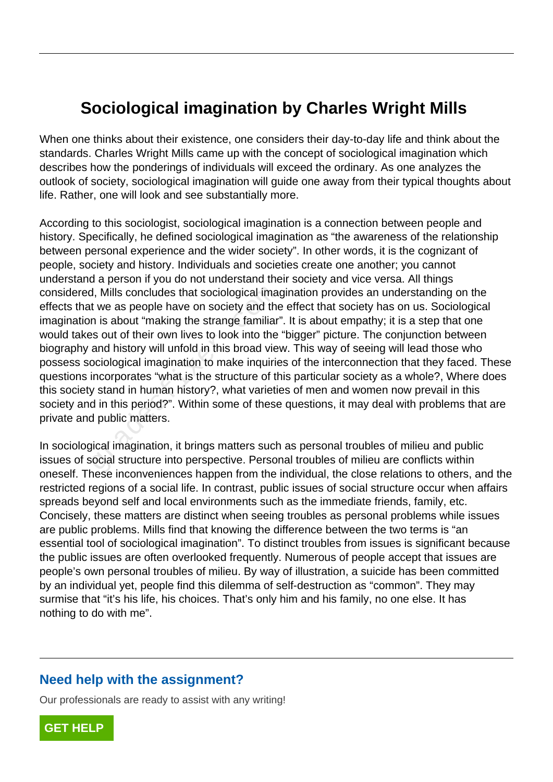## **Sociological imagination by Charles Wright Mills**

When one thinks about their existence, one considers their day-to-day life and think about the standards. Charles Wright Mills came up with the concept of sociological imagination which describes how the ponderings of individuals will exceed the ordinary. As one analyzes the outlook of society, sociological imagination will guide one away from their typical thoughts about life. Rather, one will look and see substantially more.

According to this sociologist, sociological imagination is a connection between people and history. Specifically, he defined sociological imagination as "the awareness of the relationship between personal experience and the wider society". In other words, it is the cognizant of people, society and history. Individuals and societies create one another; you cannot understand a person if you do not understand their society and vice versa. All things considered, Mills concludes that sociological imagination provides an understanding on the effects that we as people have on society and the effect that society has on us. Sociological imagination is about "making the strange familiar". It is about empathy; it is a step that one would takes out of their own lives to look into the "bigger" picture. The conjunction between biography and history will unfold in this broad view. This way of seeing will lead those who possess sociological imagination to make inquiries of the interconnection that they faced. These questions incorporates "what is the structure of this particular society as a whole?, Where does this society stand in human history?, what varieties of men and women now prevail in this society and in this period?". Within some of these questions, it may deal with problems that are private and public matters. d, Mills concludes that sociological images that sociological images the strange familiar in is about "making the strange familiar" as out of their own lives to look into the and history will unfold in this broad vierociol

In sociological imagination, it brings matters such as personal troubles of milieu and public issues of social structure into perspective. Personal troubles of milieu are conflicts within oneself. These inconveniences happen from the individual, the close relations to others, and the restricted regions of a social life. In contrast, public issues of social structure occur when affairs spreads beyond self and local environments such as the immediate friends, family, etc. Concisely, these matters are distinct when seeing troubles as personal problems while issues are public problems. Mills find that knowing the difference between the two terms is "an essential tool of sociological imagination". To distinct troubles from issues is significant because the public issues are often overlooked frequently. Numerous of people accept that issues are people's own personal troubles of milieu. By way of illustration, a suicide has been committed by an individual yet, people find this dilemma of self-destruction as "common". They may surmise that "it's his life, his choices. That's only him and his family, no one else. It has nothing to do with me".

## **Need help with the assignment?**

Our professionals are ready to assist with any writing!

**[GET HELP](https://my.gradesfixer.com/order?utm_campaign=pdf_sample)**